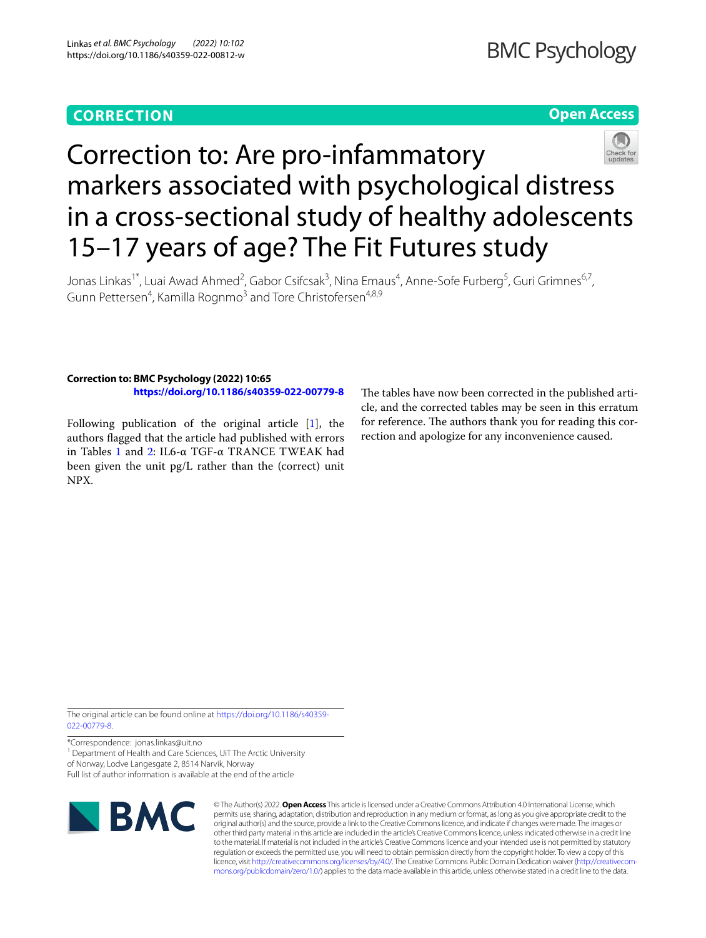# **CORRECTION**

# **Open Access**



# Correction to: Are pro-infammatory markers associated with psychological distress in a cross-sectional study of healthy adolescents 15–17 years of age? The Fit Futures study

Jonas Linkas<sup>1\*</sup>, Luai Awad Ahmed<sup>2</sup>, Gabor Csifcsak<sup>3</sup>, Nina Emaus<sup>4</sup>, Anne-Sofe Furberg<sup>5</sup>, Guri Grimnes<sup>6,7</sup>, Gunn Pettersen<sup>4</sup>, Kamilla Rognmo<sup>3</sup> and Tore Christofersen<sup>4,8,9</sup>

### **Correction to: BMC Psychology (2022) 10:65 <https://doi.org/10.1186/s40359-022-00779-8>**

Following publication of the original article [\[1\]](#page-3-0), the authors fagged that the article had published with errors in Tables [1](#page-1-0) and [2](#page-2-0): IL6-α TGF-α TRANCE TWEAK had been given the unit pg/L rather than the (correct) unit NPX.

The tables have now been corrected in the published article, and the corrected tables may be seen in this erratum for reference. The authors thank you for reading this correction and apologize for any inconvenience caused.

The original article can be found online at [https://doi.org/10.1186/s40359-](https://doi.org/10.1186/s40359-022-00779-8) [022-00779-8](https://doi.org/10.1186/s40359-022-00779-8).

\*Correspondence: jonas.linkas@uit.no

<sup>1</sup> Department of Health and Care Sciences, UiT The Arctic University

of Norway, Lodve Langesgate 2, 8514 Narvik, Norway

Full list of author information is available at the end of the article



© The Author(s) 2022. **Open Access** This article is licensed under a Creative Commons Attribution 4.0 International License, which permits use, sharing, adaptation, distribution and reproduction in any medium or format, as long as you give appropriate credit to the original author(s) and the source, provide a link to the Creative Commons licence, and indicate if changes were made. The images or other third party material in this article are included in the article's Creative Commons licence, unless indicated otherwise in a credit line to the material. If material is not included in the article's Creative Commons licence and your intended use is not permitted by statutory regulation or exceeds the permitted use, you will need to obtain permission directly from the copyright holder. To view a copy of this licence, visit [http://creativecommons.org/licenses/by/4.0/.](http://creativecommons.org/licenses/by/4.0/) The Creative Commons Public Domain Dedication waiver (http://creativecom[mons.org/publicdomain/zero/1.0/\)](http://creativecommons.org/publicdomain/zero/1.0/) applies to the data made available in this article, unless otherwise stated in a credit line to the data.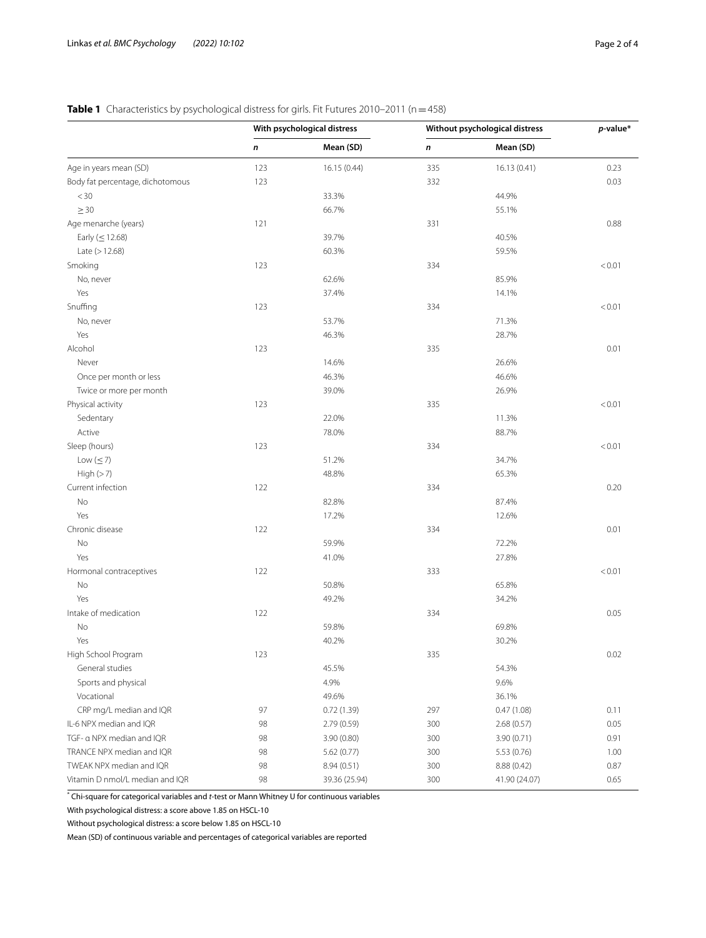## <span id="page-1-0"></span>**Table 1** Characteristics by psychological distress for girls. Fit Futures 2010-2011 (n = 458)

|                                  | With psychological distress |               | Without psychological distress |               | $p$ -value* |
|----------------------------------|-----------------------------|---------------|--------------------------------|---------------|-------------|
|                                  | n                           | Mean (SD)     | n                              | Mean (SD)     |             |
| Age in years mean (SD)           | 123                         | 16.15 (0.44)  | 335                            | 16.13(0.41)   | 0.23        |
| Body fat percentage, dichotomous | 123                         |               | 332                            |               | 0.03        |
| $<$ 30                           |                             | 33.3%         |                                | 44.9%         |             |
| $\geq 30$                        |                             | 66.7%         |                                | 55.1%         |             |
| Age menarche (years)             | 121                         |               | 331                            |               | 0.88        |
| Early $(\leq 12.68)$             |                             | 39.7%         |                                | 40.5%         |             |
| Late $(>12.68)$                  |                             | 60.3%         |                                | 59.5%         |             |
| Smoking                          | 123                         |               | 334                            |               | < 0.01      |
| No, never                        |                             | 62.6%         |                                | 85.9%         |             |
| Yes                              |                             | 37.4%         |                                | 14.1%         |             |
| Snuffing                         | 123                         |               | 334                            |               | < 0.01      |
| No, never                        |                             | 53.7%         |                                | 71.3%         |             |
| Yes                              |                             | 46.3%         |                                | 28.7%         |             |
| Alcohol                          | 123                         |               | 335                            |               | 0.01        |
| Never                            |                             | 14.6%         |                                | 26.6%         |             |
| Once per month or less           |                             | 46.3%         |                                | 46.6%         |             |
| Twice or more per month          |                             | 39.0%         |                                | 26.9%         |             |
| Physical activity                | 123                         |               | 335                            |               | < 0.01      |
| Sedentary                        |                             | 22.0%         |                                | 11.3%         |             |
| Active                           |                             | 78.0%         |                                | 88.7%         |             |
|                                  |                             |               | 334                            |               |             |
| Sleep (hours)                    | 123                         |               |                                |               | < 0.01      |
| Low $(\leq 7)$                   |                             | 51.2%         |                                | 34.7%         |             |
| High(>7)                         |                             | 48.8%         |                                | 65.3%         |             |
| Current infection                | 122                         |               | 334                            |               | 0.20        |
| No                               |                             | 82.8%         |                                | 87.4%         |             |
| Yes                              |                             | 17.2%         |                                | 12.6%         |             |
| Chronic disease                  | 122                         |               | 334                            |               | 0.01        |
| No                               |                             | 59.9%         |                                | 72.2%         |             |
| Yes                              |                             | 41.0%         |                                | 27.8%         |             |
| Hormonal contraceptives          | 122                         |               | 333                            |               | < 0.01      |
| No                               |                             | 50.8%         |                                | 65.8%         |             |
| Yes                              |                             | 49.2%         |                                | 34.2%         |             |
| Intake of medication             | 122                         |               | 334                            |               | 0.05        |
| No                               |                             | 59.8%         |                                | 69.8%         |             |
| Yes                              |                             | 40.2%         |                                | 30.2%         |             |
| High School Program              | 123                         |               | 335                            |               | 0.02        |
| General studies                  |                             | 45.5%         |                                | 54.3%         |             |
| Sports and physical              |                             | 4.9%          |                                | 9.6%          |             |
| Vocational                       |                             | 49.6%         |                                | 36.1%         |             |
| CRP mg/L median and IQR          | 97                          | 0.72(1.39)    | 297                            | 0.47(1.08)    | 0.11        |
| IL-6 NPX median and IQR          | 98                          | 2.79 (0.59)   | 300                            | 2.68(0.57)    | 0.05        |
| TGF- a NPX median and IQR        | 98                          | 3.90(0.80)    | 300                            | 3.90(0.71)    | 0.91        |
| TRANCE NPX median and IQR        | 98                          | 5.62(0.77)    | 300                            | 5.53(0.76)    | 1.00        |
| TWEAK NPX median and IQR         | 98                          | 8.94(0.51)    | 300                            | 8.88 (0.42)   | 0.87        |
| Vitamin D nmol/L median and IQR  | 98                          | 39.36 (25.94) | 300                            | 41.90 (24.07) | 0.65        |

\* Chi-square for categorical variables and *t*-test or Mann Whitney U for continuous variables

With psychological distress: a score above 1.85 on HSCL-10

Without psychological distress: a score below 1.85 on HSCL-10

Mean (SD) of continuous variable and percentages of categorical variables are reported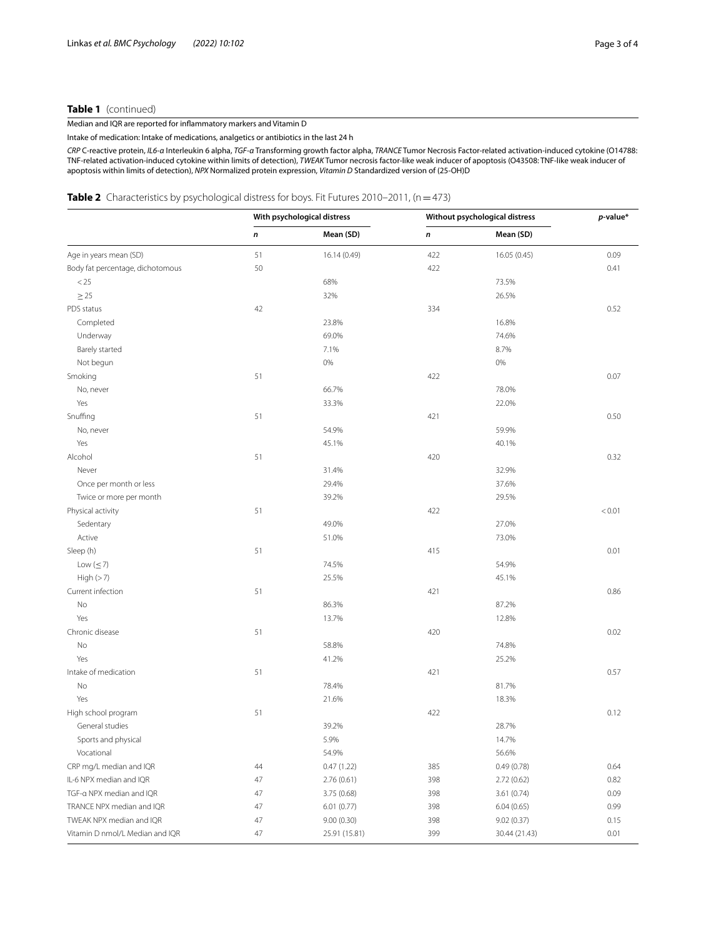#### **Table 1** (continued)

Median and IQR are reported for infammatory markers and Vitamin D

Intake of medication: Intake of medications, analgetics or antibiotics in the last 24 h

*CRP* C-reactive protein, *IL6-α* Interleukin 6 alpha, *TGF-α* Transforming growth factor alpha, *TRANCE* Tumor Necrosis Factor-related activation-induced cytokine (O14788: TNF-related activation-induced cytokine within limits of detection), *TWEAK* Tumor necrosis factor-like weak inducer of apoptosis (O43508: TNF-like weak inducer of apoptosis within limits of detection), *NPX* Normalized protein expression, *Vitamin D* Standardized version of (25-OH)D

#### <span id="page-2-0"></span>**Table 2** Characteristics by psychological distress for boys. Fit Futures 2010–2011, (n = 473)

|                                  | With psychological distress |               | Without psychological distress |               | $p$ -value* |
|----------------------------------|-----------------------------|---------------|--------------------------------|---------------|-------------|
|                                  | n                           | Mean (SD)     | n                              | Mean (SD)     |             |
| Age in years mean (SD)           | 51                          | 16.14 (0.49)  | 422                            | 16.05 (0.45)  | 0.09        |
| Body fat percentage, dichotomous | 50                          |               | 422                            |               | 0.41        |
| < 25                             |                             | 68%           |                                | 73.5%         |             |
| $\geq$ 25                        |                             | 32%           |                                | 26.5%         |             |
| PDS status                       | 42                          |               | 334                            |               | 0.52        |
| Completed                        |                             | 23.8%         |                                | 16.8%         |             |
| Underway                         |                             | 69.0%         |                                | 74.6%         |             |
| Barely started                   |                             | 7.1%          |                                | 8.7%          |             |
| Not begun                        |                             | 0%            |                                | 0%            |             |
| Smoking                          | 51                          |               | 422                            |               | 0.07        |
| No, never                        |                             | 66.7%         |                                | 78.0%         |             |
| Yes                              |                             | 33.3%         |                                | 22.0%         |             |
| Snuffing                         | 51                          |               | 421                            |               | 0.50        |
| No, never                        |                             | 54.9%         |                                | 59.9%         |             |
| Yes                              |                             | 45.1%         |                                | 40.1%         |             |
| Alcohol                          | 51                          |               | 420                            |               | 0.32        |
| Never                            |                             | 31.4%         |                                | 32.9%         |             |
| Once per month or less           |                             | 29.4%         |                                | 37.6%         |             |
| Twice or more per month          |                             | 39.2%         |                                | 29.5%         |             |
| Physical activity                | 51                          |               | 422                            |               | < 0.01      |
| Sedentary                        |                             | 49.0%         |                                | 27.0%         |             |
| Active                           |                             | 51.0%         |                                | 73.0%         |             |
| Sleep (h)                        | 51                          |               | 415                            |               | 0.01        |
| Low $(\leq 7)$                   |                             | 74.5%         |                                | 54.9%         |             |
| High(>7)                         |                             | 25.5%         |                                | 45.1%         |             |
| Current infection                | 51                          |               | 421                            |               | 0.86        |
| No                               |                             | 86.3%         |                                | 87.2%         |             |
| Yes                              |                             | 13.7%         |                                | 12.8%         |             |
| Chronic disease                  | 51                          |               | 420                            |               | 0.02        |
| No                               |                             | 58.8%         |                                | 74.8%         |             |
| Yes                              |                             | 41.2%         |                                | 25.2%         |             |
| Intake of medication             | 51                          |               | 421                            |               | 0.57        |
| No                               |                             | 78.4%         |                                | 81.7%         |             |
| Yes                              |                             | 21.6%         |                                | 18.3%         |             |
| High school program              | 51                          |               | 422                            |               | 0.12        |
| General studies                  |                             | 39.2%         |                                | 28.7%         |             |
| Sports and physical              |                             | 5.9%          |                                | 14.7%         |             |
| Vocational                       |                             | 54.9%         |                                | 56.6%         |             |
| CRP mg/L median and IQR          | 44                          | 0.47(1.22)    | 385                            | 0.49(0.78)    | 0.64        |
| IL-6 NPX median and IQR          | 47                          | 2.76(0.61)    | 398                            | 2.72(0.62)    | 0.82        |
| TGF-a NPX median and IQR         | 47                          | 3.75(0.68)    | 398                            | 3.61 (0.74)   | 0.09        |
| TRANCE NPX median and IQR        | 47                          | 6.01(0.77)    | 398                            | 6.04(0.65)    | 0.99        |
| TWEAK NPX median and IQR         | 47                          | 9.00(0.30)    | 398                            | 9.02 (0.37)   | 0.15        |
| Vitamin D nmol/L Median and IQR  | 47                          | 25.91 (15.81) | 399                            | 30.44 (21.43) | 0.01        |